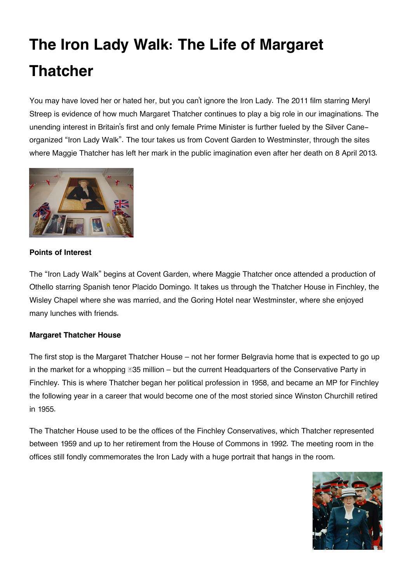# **The Iron Lady Walk: The Life of Margaret Thatcher**

You may have loved her or hated her, but you can't ignore the Iron Lady. The 2011 film starring Meryl Streep is evidence of how much Margaret Thatcher continues to play a big role in our imaginations. The unending interest in Britain's first and only female Prime Minister is further fueled by the Silver Caneorganized "Iron Lady Walk". The tour takes us from Covent Garden to Westminster, through the sites where Maggie Thatcher has left her mark in the public imagination even after her death on 8 April 2013.



# **Points of Interest**

The "Iron Lady Walk" begins at Covent Garden, where Maggie Thatcher once attended a production of Othello starring Spanish tenor Placido Domingo. It takes us through the Thatcher House in Finchley, the Wisley Chapel where she was married, and the Goring Hotel near Westminster, where she enjoyed many lunches with friends.

# **Margaret Thatcher House**

The first stop is the Margaret Thatcher House – not her former Belgravia home that is expected to go up in the market for a whopping *≣***35 million** – but the current Headquarters of the Conservative Party in Finchley. This is where Thatcher began her political profession in 1958, and became an MP for Finchley the following year in a career that would become one of the most storied since Winston Churchill retired in 1955.

The Thatcher House used to be the offices of the Finchley Conservatives, which Thatcher represented between 1959 and up to her retirement from the House of Commons in 1992. The meeting room in the offices still fondly commemorates the Iron Lady with a huge portrait that hangs in the room.